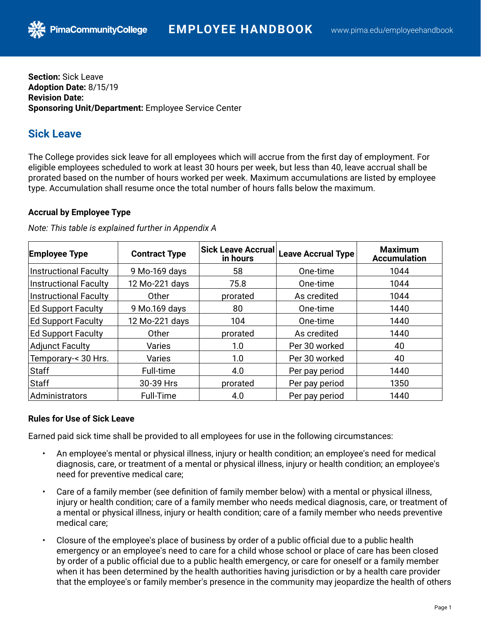**Section:** Sick Leave **Adoption Date:** 8/15/19 **Revision Date: Sponsoring Unit/Department:** Employee Service Center

**PimaCommunityCollege** 

# **Sick Leave**

The College provides sick leave for all employees which will accrue from the first day of employment. For eligible employees scheduled to work at least 30 hours per week, but less than 40, leave accrual shall be prorated based on the number of hours worked per week. Maximum accumulations are listed by employee type. Accumulation shall resume once the total number of hours falls below the maximum.

# **Accrual by Employee Type**

| <b>Employee Type</b>         | <b>Contract Type</b> | Sick Leave Accrual<br>in hours | <b>Leave Accrual Type</b> | <b>Maximum</b><br><b>Accumulation</b> |
|------------------------------|----------------------|--------------------------------|---------------------------|---------------------------------------|
| Instructional Faculty        | 9 Mo-169 days        | 58                             | One-time                  | 1044                                  |
| Instructional Faculty        | 12 Mo-221 days       | 75.8                           | One-time                  | 1044                                  |
| <b>Instructional Faculty</b> | Other                | prorated                       | As credited               | 1044                                  |
| <b>Ed Support Faculty</b>    | 9 Mo.169 days        | 80                             | One-time                  | 1440                                  |
| <b>Ed Support Faculty</b>    | 12 Mo-221 days       | 104                            | One-time                  | 1440                                  |
| <b>Ed Support Faculty</b>    | Other                | prorated                       | As credited               | 1440                                  |
| Adjunct Faculty              | Varies               | 1.0                            | Per 30 worked             | 40                                    |
| Temporary-< 30 Hrs.          | <b>Varies</b>        | 1.0                            | Per 30 worked             | 40                                    |
| Staff                        | Full-time            | 4.0                            | Per pay period            | 1440                                  |
| Staff                        | 30-39 Hrs            | prorated                       | Per pay period            | 1350                                  |
| Administrators               | Full-Time            | 4.0                            | Per pay period            | 1440                                  |

*Note: This table is explained further in Appendix A*

# **Rules for Use of Sick Leave**

Earned paid sick time shall be provided to all employees for use in the following circumstances:

- An employee's mental or physical illness, injury or health condition; an employee's need for medical diagnosis, care, or treatment of a mental or physical illness, injury or health condition; an employee's need for preventive medical care;
- Care of a family member (see definition of family member below) with a mental or physical illness, injury or health condition; care of a family member who needs medical diagnosis, care, or treatment of a mental or physical illness, injury or health condition; care of a family member who needs preventive medical care;
- Closure of the employee's place of business by order of a public official due to a public health emergency or an employee's need to care for a child whose school or place of care has been closed by order of a public official due to a public health emergency, or care for oneself or a family member when it has been determined by the health authorities having jurisdiction or by a health care provider that the employee's or family member's presence in the community may jeopardize the health of others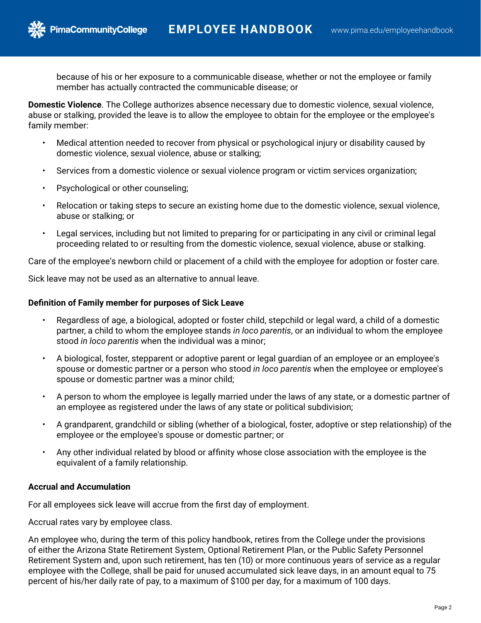

because of his or her exposure to a communicable disease, whether or not the employee or family member has actually contracted the communicable disease; or

**Domestic Violence**. The College authorizes absence necessary due to domestic violence, sexual violence, abuse or stalking, provided the leave is to allow the employee to obtain for the employee or the employee's family member:

- Medical attention needed to recover from physical or psychological injury or disability caused by domestic violence, sexual violence, abuse or stalking;
- Services from a domestic violence or sexual violence program or victim services organization;
- Psychological or other counseling;

**PimaCommunityCollege** 

- Relocation or taking steps to secure an existing home due to the domestic violence, sexual violence, abuse or stalking; or
- Legal services, including but not limited to preparing for or participating in any civil or criminal legal proceeding related to or resulting from the domestic violence, sexual violence, abuse or stalking.

Care of the employee's newborn child or placement of a child with the employee for adoption or foster care.

Sick leave may not be used as an alternative to annual leave.

## **Definition of Family member for purposes of Sick Leave**

- Regardless of age, a biological, adopted or foster child, stepchild or legal ward, a child of a domestic partner, a child to whom the employee stands *in loco parentis*, or an individual to whom the employee stood *in loco parentis* when the individual was a minor;
- A biological, foster, stepparent or adoptive parent or legal guardian of an employee or an employee's spouse or domestic partner or a person who stood *in loco parentis* when the employee or employee's spouse or domestic partner was a minor child;
- A person to whom the employee is legally married under the laws of any state, or a domestic partner of an employee as registered under the laws of any state or political subdivision;
- A grandparent, grandchild or sibling (whether of a biological, foster, adoptive or step relationship) of the employee or the employee's spouse or domestic partner; or
- Any other individual related by blood or affinity whose close association with the employee is the equivalent of a family relationship.

# **Accrual and Accumulation**

For all employees sick leave will accrue from the first day of employment.

Accrual rates vary by employee class.

An employee who, during the term of this policy handbook, retires from the College under the provisions of either the Arizona State Retirement System, Optional Retirement Plan, or the Public Safety Personnel Retirement System and, upon such retirement, has ten (10) or more continuous years of service as a regular employee with the College, shall be paid for unused accumulated sick leave days, in an amount equal to 75 percent of his/her daily rate of pay, to a maximum of \$100 per day, for a maximum of 100 days.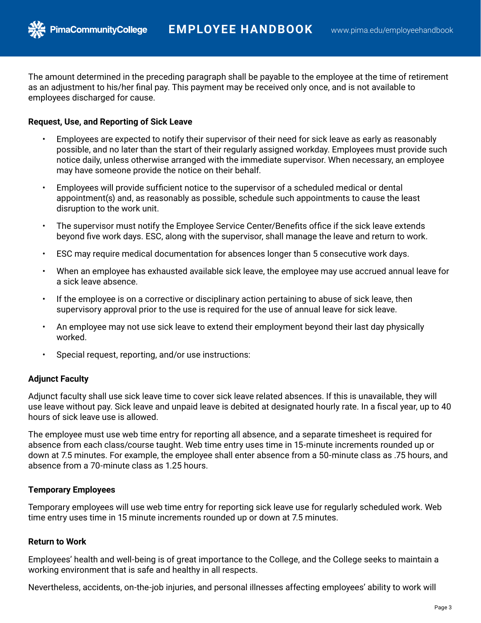The amount determined in the preceding paragraph shall be payable to the employee at the time of retirement as an adjustment to his/her final pay. This payment may be received only once, and is not available to employees discharged for cause.

## **Request, Use, and Reporting of Sick Leave**

**PimaCommunityCollege** 

- Employees are expected to notify their supervisor of their need for sick leave as early as reasonably possible, and no later than the start of their regularly assigned workday. Employees must provide such notice daily, unless otherwise arranged with the immediate supervisor. When necessary, an employee may have someone provide the notice on their behalf.
- Employees will provide sufficient notice to the supervisor of a scheduled medical or dental appointment(s) and, as reasonably as possible, schedule such appointments to cause the least disruption to the work unit.
- The supervisor must notify the Employee Service Center/Benefits office if the sick leave extends beyond five work days. ESC, along with the supervisor, shall manage the leave and return to work.
- ESC may require medical documentation for absences longer than 5 consecutive work days.
- When an employee has exhausted available sick leave, the employee may use accrued annual leave for a sick leave absence.
- If the employee is on a corrective or disciplinary action pertaining to abuse of sick leave, then supervisory approval prior to the use is required for the use of annual leave for sick leave.
- An employee may not use sick leave to extend their employment beyond their last day physically worked.
- Special request, reporting, and/or use instructions:

# **Adjunct Faculty**

Adjunct faculty shall use sick leave time to cover sick leave related absences. If this is unavailable, they will use leave without pay. Sick leave and unpaid leave is debited at designated hourly rate. In a fiscal year, up to 40 hours of sick leave use is allowed.

The employee must use web time entry for reporting all absence, and a separate timesheet is required for absence from each class/course taught. Web time entry uses time in 15-minute increments rounded up or down at 7.5 minutes. For example, the employee shall enter absence from a 50-minute class as .75 hours, and absence from a 70-minute class as 1.25 hours.

# **Temporary Employees**

Temporary employees will use web time entry for reporting sick leave use for regularly scheduled work. Web time entry uses time in 15 minute increments rounded up or down at 7.5 minutes.

## **Return to Work**

Employees' health and well-being is of great importance to the College, and the College seeks to maintain a working environment that is safe and healthy in all respects.

Nevertheless, accidents, on-the-job injuries, and personal illnesses affecting employees' ability to work will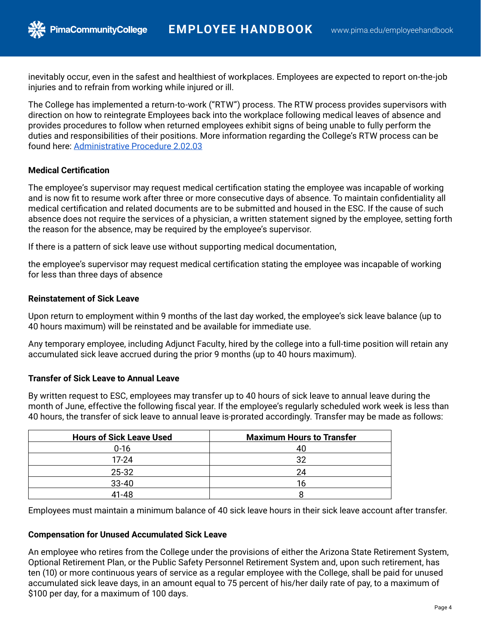inevitably occur, even in the safest and healthiest of workplaces. Employees are expected to report on-the-job injuries and to refrain from working while injured or ill.

The College has implemented a return-to-work ("RTW") process. The RTW process provides supervisors with direction on how to reintegrate Employees back into the workplace following medical leaves of absence and provides procedures to follow when returned employees exhibit signs of being unable to fully perform the duties and responsibilities of their positions. More information regarding the College's RTW process can be found here: [Administrative Procedure 2.02.03](https://pima.edu/about-pima/leadership-policies/policies/administrative-procedures/docs-ap-02/ap-2-02-03.pdf)

## **Medical Certification**

**PimaCommunityCollege** 

The employee's supervisor may request medical certification stating the employee was incapable of working and is now fit to resume work after three or more consecutive days of absence. To maintain confidentiality all medical certification and related documents are to be submitted and housed in the ESC. If the cause of such absence does not require the services of a physician, a written statement signed by the employee, setting forth the reason for the absence, may be required by the employee's supervisor.

If there is a pattern of sick leave use without supporting medical documentation,

the employee's supervisor may request medical certification stating the employee was incapable of working for less than three days of absence

## **Reinstatement of Sick Leave**

Upon return to employment within 9 months of the last day worked, the employee's sick leave balance (up to 40 hours maximum) will be reinstated and be available for immediate use.

Any temporary employee, including Adjunct Faculty, hired by the college into a full-time position will retain any accumulated sick leave accrued during the prior 9 months (up to 40 hours maximum).

# **Transfer of Sick Leave to Annual Leave**

By written request to ESC, employees may transfer up to 40 hours of sick leave to annual leave during the month of June, effective the following fiscal year. If the employee's regularly scheduled work week is less than 40 hours, the transfer of sick leave to annual leave is prorated accordingly. Transfer may be made as follows:

| <b>Hours of Sick Leave Used</b> | <b>Maximum Hours to Transfer</b> |  |  |
|---------------------------------|----------------------------------|--|--|
| $0 - 16$                        | 40                               |  |  |
| $17 - 24$                       | 32                               |  |  |
| 25-32                           | 24                               |  |  |
| $33 - 40$                       | 16                               |  |  |
| 41-48                           |                                  |  |  |

Employees must maintain a minimum balance of 40 sick leave hours in their sick leave account after transfer.

## **Compensation for Unused Accumulated Sick Leave**

An employee who retires from the College under the provisions of either the Arizona State Retirement System, Optional Retirement Plan, or the Public Safety Personnel Retirement System and, upon such retirement, has ten (10) or more continuous years of service as a regular employee with the College, shall be paid for unused accumulated sick leave days, in an amount equal to 75 percent of his/her daily rate of pay, to a maximum of \$100 per day, for a maximum of 100 days.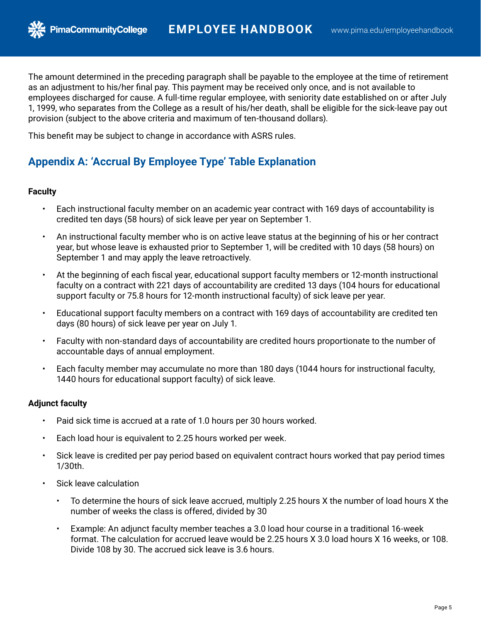The amount determined in the preceding paragraph shall be payable to the employee at the time of retirement as an adjustment to his/her final pay. This payment may be received only once, and is not available to employees discharged for cause. A full-time regular employee, with seniority date established on or after July 1, 1999, who separates from the College as a result of his/her death, shall be eligible for the sick-leave pay out provision (subject to the above criteria and maximum of ten-thousand dollars).

This benefit may be subject to change in accordance with ASRS rules.

**PimaCommunityCollege** 

# **Appendix A: 'Accrual By Employee Type' Table Explanation**

#### **Faculty**

- Each instructional faculty member on an academic year contract with 169 days of accountability is credited ten days (58 hours) of sick leave per year on September 1.
- An instructional faculty member who is on active leave status at the beginning of his or her contract year, but whose leave is exhausted prior to September 1, will be credited with 10 days (58 hours) on September 1 and may apply the leave retroactively.
- At the beginning of each fiscal year, educational support faculty members or 12-month instructional faculty on a contract with 221 days of accountability are credited 13 days (104 hours for educational support faculty or 75.8 hours for 12-month instructional faculty) of sick leave per year.
- Educational support faculty members on a contract with 169 days of accountability are credited ten days (80 hours) of sick leave per year on July 1.
- Faculty with non-standard days of accountability are credited hours proportionate to the number of accountable days of annual employment.
- Each faculty member may accumulate no more than 180 days (1044 hours for instructional faculty, 1440 hours for educational support faculty) of sick leave.

## **Adjunct faculty**

- Paid sick time is accrued at a rate of 1.0 hours per 30 hours worked.
- Each load hour is equivalent to 2.25 hours worked per week.
- Sick leave is credited per pay period based on equivalent contract hours worked that pay period times 1/30th.
- Sick leave calculation
	- To determine the hours of sick leave accrued, multiply 2.25 hours X the number of load hours X the number of weeks the class is offered, divided by 30
	- Example: An adjunct faculty member teaches a 3.0 load hour course in a traditional 16-week format. The calculation for accrued leave would be 2.25 hours X 3.0 load hours X 16 weeks, or 108. Divide 108 by 30. The accrued sick leave is 3.6 hours.